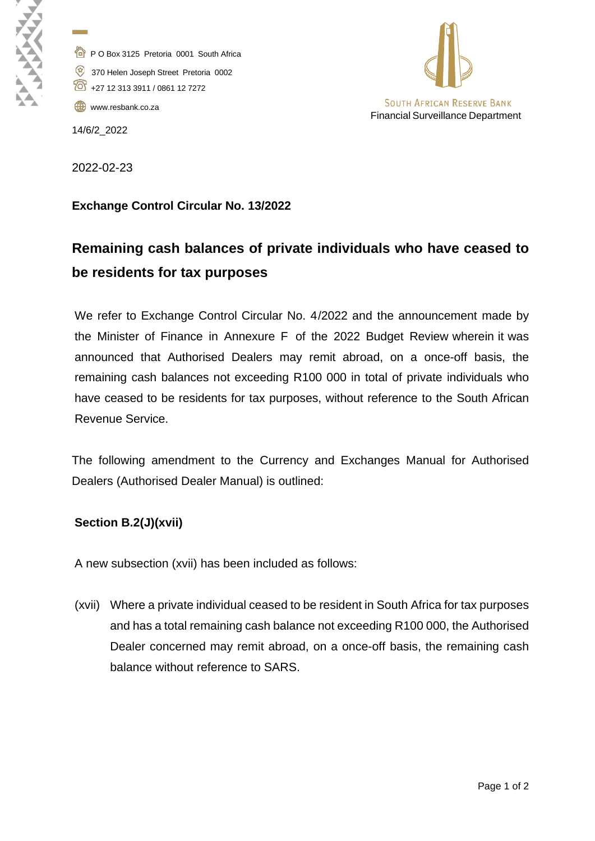P O Box 3125 Pretoria 0001 South Africa 370 Helen Joseph Street Pretoria 0002 +27 12 313 3911 / 0861 12 7272

[www.resbank.co.za](http://www.resbank.co.za/)

14/6/2\_2022

**Contract** 



2022-02-23

## **Exchange Control Circular No. 13/2022**

## **Remaining cash balances of private individuals who have ceased to be residents for tax purposes**

We refer to Exchange Control Circular No. 4/2022 and the announcement made by the Minister of Finance in Annexure F of the 2022 Budget Review wherein it was announced that Authorised Dealers may remit abroad, on a once-off basis, the remaining cash balances not exceeding R100 000 in total of private individuals who have ceased to be residents for tax purposes, without reference to the South African Revenue Service.

The following amendment to the Currency and Exchanges Manual for Authorised Dealers (Authorised Dealer Manual) is outlined:

## **Section B.2(J)(xvii)**

A new subsection (xvii) has been included as follows:

(xvii) Where a private individual ceased to be resident in South Africa for tax purposes and has a total remaining cash balance not exceeding R100 000, the Authorised Dealer concerned may remit abroad, on a once-off basis, the remaining cash balance without reference to SARS.